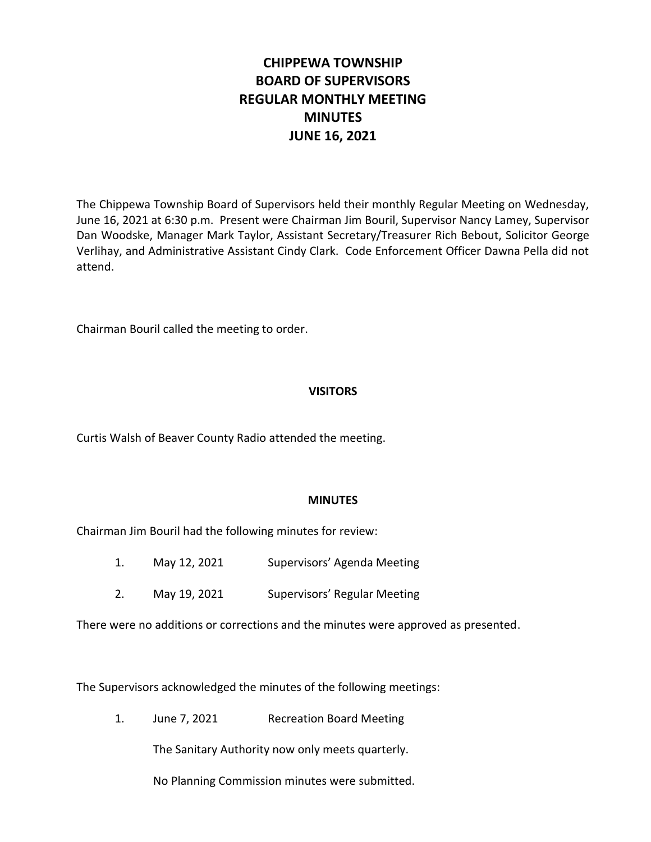# **CHIPPEWA TOWNSHIP BOARD OF SUPERVISORS REGULAR MONTHLY MEETING MINUTES JUNE 16, 2021**

The Chippewa Township Board of Supervisors held their monthly Regular Meeting on Wednesday, June 16, 2021 at 6:30 p.m. Present were Chairman Jim Bouril, Supervisor Nancy Lamey, Supervisor Dan Woodske, Manager Mark Taylor, Assistant Secretary/Treasurer Rich Bebout, Solicitor George Verlihay, and Administrative Assistant Cindy Clark. Code Enforcement Officer Dawna Pella did not attend.

Chairman Bouril called the meeting to order.

# **VISITORS**

Curtis Walsh of Beaver County Radio attended the meeting.

## **MINUTES**

Chairman Jim Bouril had the following minutes for review:

- 1. May 12, 2021 Supervisors' Agenda Meeting
- 2. May 19, 2021 Supervisors' Regular Meeting

There were no additions or corrections and the minutes were approved as presented.

The Supervisors acknowledged the minutes of the following meetings:

1. June 7, 2021 Recreation Board Meeting

The Sanitary Authority now only meets quarterly.

No Planning Commission minutes were submitted.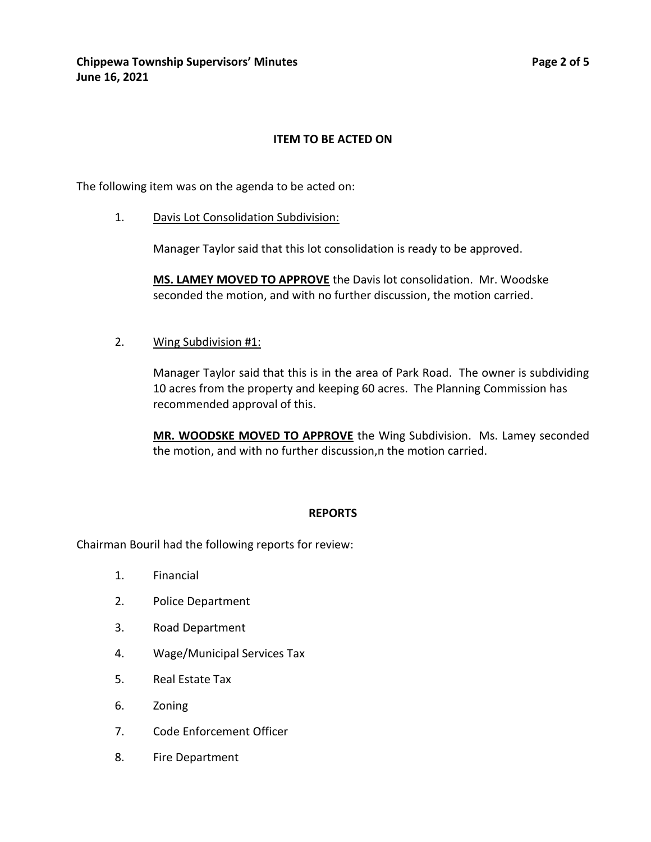# **ITEM TO BE ACTED ON**

The following item was on the agenda to be acted on:

1. Davis Lot Consolidation Subdivision:

Manager Taylor said that this lot consolidation is ready to be approved.

**MS. LAMEY MOVED TO APPROVE** the Davis lot consolidation. Mr. Woodske seconded the motion, and with no further discussion, the motion carried.

2. Wing Subdivision #1:

Manager Taylor said that this is in the area of Park Road. The owner is subdividing 10 acres from the property and keeping 60 acres. The Planning Commission has recommended approval of this.

**MR. WOODSKE MOVED TO APPROVE** the Wing Subdivision. Ms. Lamey seconded the motion, and with no further discussion,n the motion carried.

#### **REPORTS**

Chairman Bouril had the following reports for review:

- 1. Financial
- 2. Police Department
- 3. Road Department
- 4. Wage/Municipal Services Tax
- 5. Real Estate Tax
- 6. Zoning
- 7. Code Enforcement Officer
- 8. Fire Department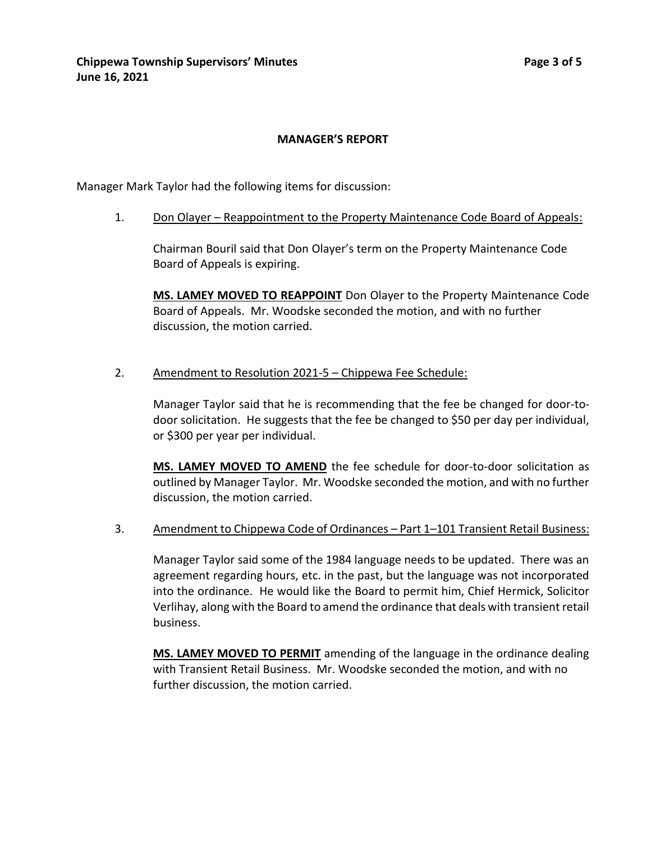## **MANAGER'S REPORT**

Manager Mark Taylor had the following items for discussion:

1. Don Olayer – Reappointment to the Property Maintenance Code Board of Appeals:

Chairman Bouril said that Don Olayer's term on the Property Maintenance Code Board of Appeals is expiring.

**MS. LAMEY MOVED TO REAPPOINT** Don Olayer to the Property Maintenance Code Board of Appeals. Mr. Woodske seconded the motion, and with no further discussion, the motion carried.

2. Amendment to Resolution 2021-5 – Chippewa Fee Schedule:

Manager Taylor said that he is recommending that the fee be changed for door-todoor solicitation. He suggests that the fee be changed to \$50 per day per individual, or \$300 per year per individual.

**MS. LAMEY MOVED TO AMEND** the fee schedule for door-to-door solicitation as outlined by Manager Taylor. Mr. Woodske seconded the motion, and with no further discussion, the motion carried.

3. Amendment to Chippewa Code of Ordinances – Part 1–101 Transient Retail Business:

Manager Taylor said some of the 1984 language needs to be updated. There was an agreement regarding hours, etc. in the past, but the language was not incorporated into the ordinance. He would like the Board to permit him, Chief Hermick, Solicitor Verlihay, along with the Board to amend the ordinance that deals with transient retail business.

**MS. LAMEY MOVED TO PERMIT** amending of the language in the ordinance dealing with Transient Retail Business. Mr. Woodske seconded the motion, and with no further discussion, the motion carried.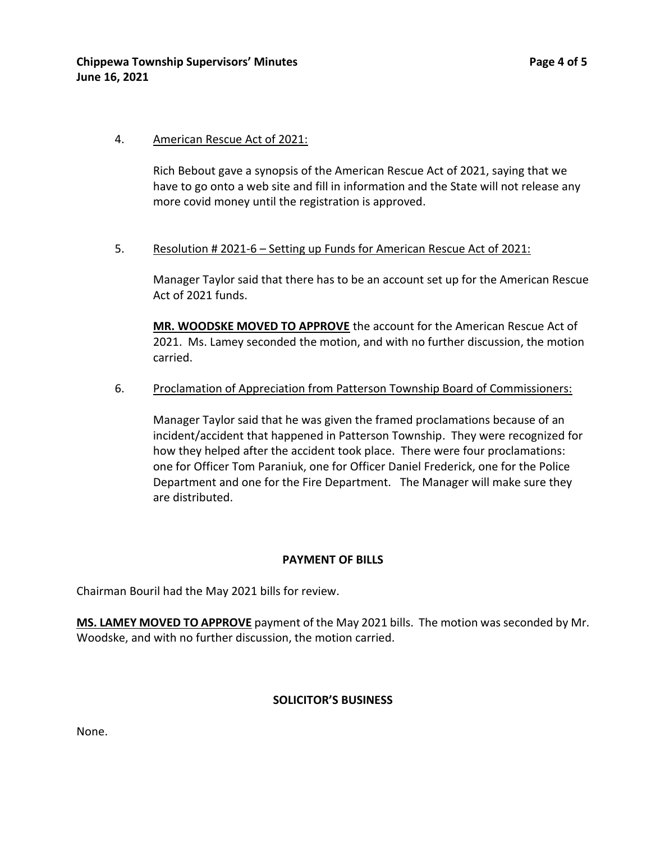## 4. American Rescue Act of 2021:

Rich Bebout gave a synopsis of the American Rescue Act of 2021, saying that we have to go onto a web site and fill in information and the State will not release any more covid money until the registration is approved.

## 5. Resolution # 2021-6 – Setting up Funds for American Rescue Act of 2021:

Manager Taylor said that there has to be an account set up for the American Rescue Act of 2021 funds.

**MR. WOODSKE MOVED TO APPROVE** the account for the American Rescue Act of 2021. Ms. Lamey seconded the motion, and with no further discussion, the motion carried.

#### 6. Proclamation of Appreciation from Patterson Township Board of Commissioners:

Manager Taylor said that he was given the framed proclamations because of an incident/accident that happened in Patterson Township. They were recognized for how they helped after the accident took place. There were four proclamations: one for Officer Tom Paraniuk, one for Officer Daniel Frederick, one for the Police Department and one for the Fire Department. The Manager will make sure they are distributed.

#### **PAYMENT OF BILLS**

Chairman Bouril had the May 2021 bills for review.

**MS. LAMEY MOVED TO APPROVE** payment of the May 2021 bills. The motion was seconded by Mr. Woodske, and with no further discussion, the motion carried.

#### **SOLICITOR'S BUSINESS**

None.